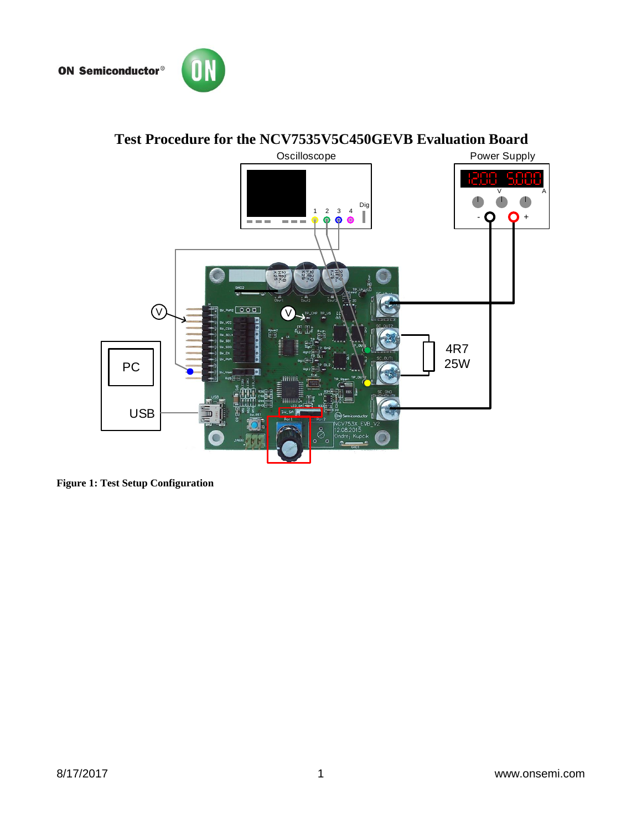



# **Test Procedure for the NCV7535V5C450GEVB Evaluation Board**



**Figure 1: Test Setup Configuration**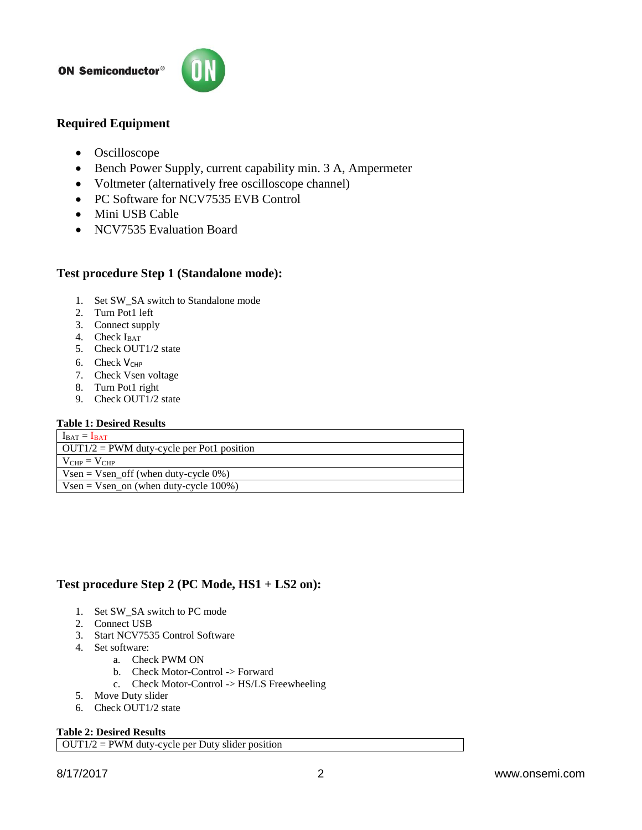#### **ON Semiconductor®**



## **Required Equipment**

- Oscilloscope
- Bench Power Supply, current capability min. 3 A, Ampermeter
- Voltmeter (alternatively free oscilloscope channel)
- PC Software for NCV7535 EVB Control
- Mini USB Cable
- NCV7535 Evaluation Board

## **Test procedure Step 1 (Standalone mode):**

- 1. Set SW\_SA switch to Standalone mode
- 2. Turn Pot1 left
- 3. Connect supply
- 4. Check  $I<sub>BAT</sub>$
- 5. Check OUT1/2 state
- 6. Check  $V_{CHP}$
- 7. Check Vsen voltage
- 8. Turn Pot1 right
- 9. Check OUT1/2 state

#### **Table 1: Desired Results**

| $I_{\text{BAT}} = I_{\text{BAT}}$                 |
|---------------------------------------------------|
| $\vert$ OUT1/2 = PWM duty-cycle per Pot1 position |
| $V_{CHP} = V_{CHP}$                               |
| $Vsen = Vsen\_off$ (when duty-cycle 0%)           |
| $Vsen = Vsen_{on}$ (when duty-cycle 100%)         |

## **Test procedure Step 2 (PC Mode, HS1 + LS2 on):**

- 1. Set SW\_SA switch to PC mode
- 2. Connect USB
- 3. Start NCV7535 Control Software
- 4. Set software:
	- a. Check PWM ON
	- b. Check Motor-Control -> Forward
	- c. Check Motor-Control -> HS/LS Freewheeling
- 5. Move Duty slider
- 6. Check OUT1/2 state

#### **Table 2: Desired Results**

 $\overline{OUT1/2}$  = PWM duty-cycle per Duty slider position